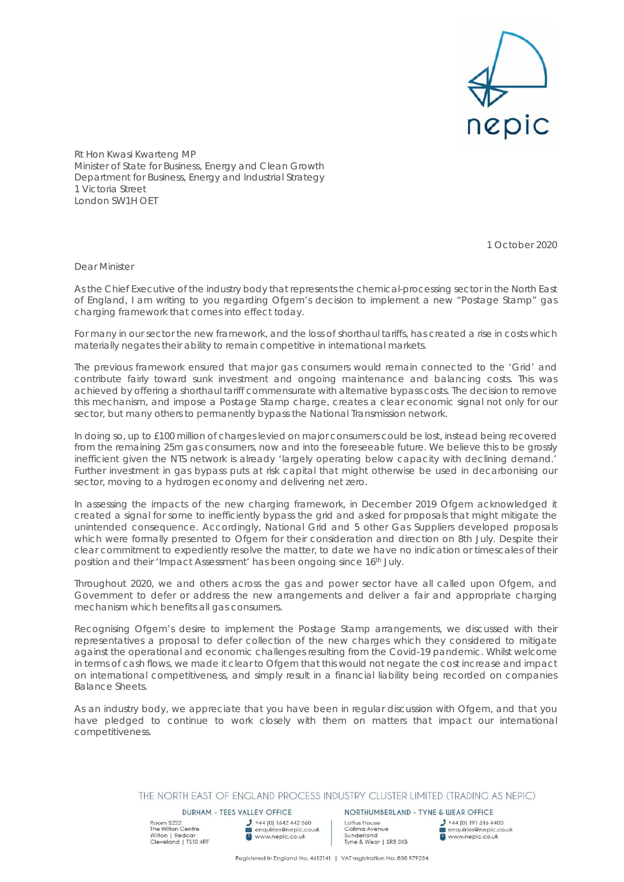

Rt Hon Kwasi Kwarteng MP Minister of State for Business, Energy and Clean Growth Department for Business, Energy and Industrial Strategy 1 Victoria Street London SW1H OET

1 October 2020

Dear Minister

As the Chief Executive of the industry body that represents the chemical-processing sector in the North East of England, I am writing to you regarding Ofgem's decision to implement a new "Postage Stamp" gas charging framework that comes into effect today.

For many in our sector the new framework, and the loss of shorthaul tariffs, has created a rise in costs which materially negates their ability to remain competitive in international markets.

The previous framework ensured that major gas consumers would remain connected to the 'Grid' and contribute fairly toward sunk investment and ongoing maintenance and balancing costs. This was achieved by offering a shorthaul tariff commensurate with alternative bypass costs. The decision to remove this mechanism, and impose a Postage Stamp charge, creates a clear economic signal not only for our sector, but many others to permanently bypass the National Transmission network.

In doing so, up to £100 million of charges levied on major consumers could be lost, instead being recovered from the remaining 25m gas consumers, now and into the foreseeable future. We believe this to be grossly inefficient given the NTS network is already 'largely operating below capacity with declining demand.' Further investment in gas bypass puts at risk capital that might otherwise be used in decarbonising our sector, moving to a hydrogen economy and delivering net zero.

In assessing the impacts of the new charging framework, in December 2019 Ofgem acknowledged it created a signal for some to inefficiently bypass the grid and asked for proposals that might mitigate the unintended consequence. Accordingly, National Grid and 5 other Gas Suppliers developed proposals which were formally presented to Ofgem for their consideration and direction on 8th July. Despite their clear commitment to expediently resolve the matter, to date we have no indication or timescales of their position and their 'Impact Assessment' has been ongoing since 16th July.

Throughout 2020, we and others across the gas and power sector have all called upon Ofgem, and Government to defer or address the new arrangements and deliver a fair and appropriate charging mechanism which benefits all gas consumers.

Recognising Ofgem's desire to implement the Postage Stamp arrangements, we discussed with their representatives a proposal to defer collection of the new charges which they considered to mitigate against the operational and economic challenges resulting from the Covid-19 pandemic. Whilst welcome in terms of cash flows, we made it clear to Ofgem that this would not negate the cost increase and impact on international competitiveness, and simply result in a financial liability being recorded on companies Balance Sheets.

As an industry body, we appreciate that you have been in regular discussion with Ofgem, and that you have pledged to continue to work closely with them on matters that impact our international competitiveness.

THE NORTH EAST OF ENGLAND PROCESS INDUSTRY CLUSTER LIMITED (TRADING AS NEPIC)

**DURHAM - TEES VALLEY OFFICE** 

Room B222 Noom B222<br>The Wilton Centre<br>Wilton | Redcar<br>Cleveland | TS10 4RF  $\bigcup$  +44 (0) 1642 442 560<br>
enquiries@nepic.co.uk<br>
enquiries@nepic.co.uk

NORTHUMBERLAND - TYNE & WEAR OFFICE Loftus House Colling Avenue<br>Sunderland<br>Tyne & Wear | SR5 3XB

 $J$  +44 (0) 191 516 4400 enquiries@nepic.co.uk